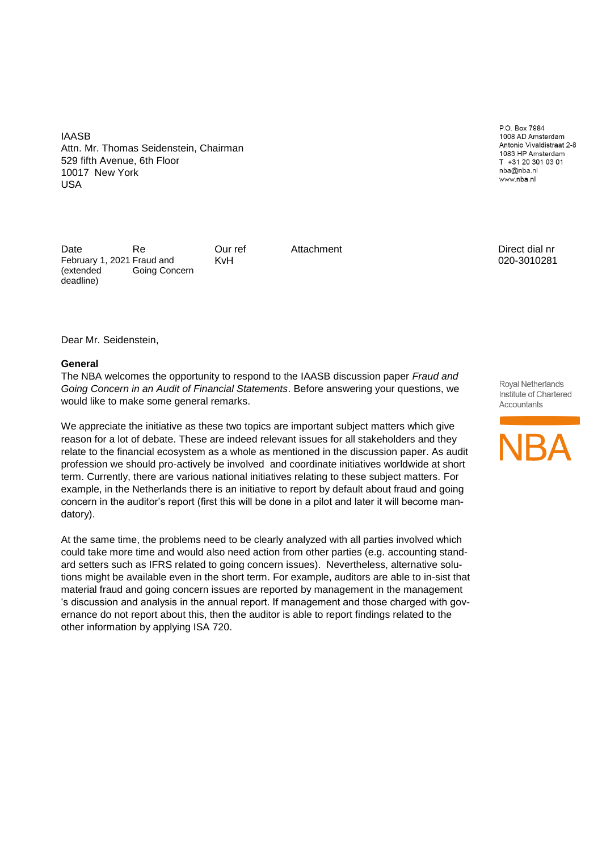IAASB Attn. Mr. Thomas Seidenstein, Chairman 529 fifth Avenue, 6th Floor 10017 New York USA

Date Re **Our ref** Attachment **Attachment** Direct dial nr February 1, 2021 Fraud and (extended deadline) Going Concern

P.O. Box 7984 1008 AD Amsterdam Antonio Vivaldistraat 2-8 1083 HP Amsterdam T +31 20 301 03 01 nba@nba.nl www.nba.nl

KvH 020-3010281

Dear Mr. Seidenstein,

#### **General**

The NBA welcomes the opportunity to respond to the IAASB discussion paper *Fraud and Going Concern in an Audit of Financial Statements*. Before answering your questions, we would like to make some general remarks.

We appreciate the initiative as these two topics are important subject matters which give reason for a lot of debate. These are indeed relevant issues for all stakeholders and they relate to the financial ecosystem as a whole as mentioned in the discussion paper. As audit profession we should pro-actively be involved and coordinate initiatives worldwide at short term. Currently, there are various national initiatives relating to these subject matters. For example, in the Netherlands there is an initiative to report by default about fraud and going concern in the auditor's report (first this will be done in a pilot and later it will become mandatory).

At the same time, the problems need to be clearly analyzed with all parties involved which could take more time and would also need action from other parties (e.g. accounting standard setters such as IFRS related to going concern issues). Nevertheless, alternative solutions might be available even in the short term. For example, auditors are able to in-sist that material fraud and going concern issues are reported by management in the management 's discussion and analysis in the annual report. If management and those charged with governance do not report about this, then the auditor is able to report findings related to the other information by applying ISA 720.

Royal Netherlands Institute of Chartered Accountants

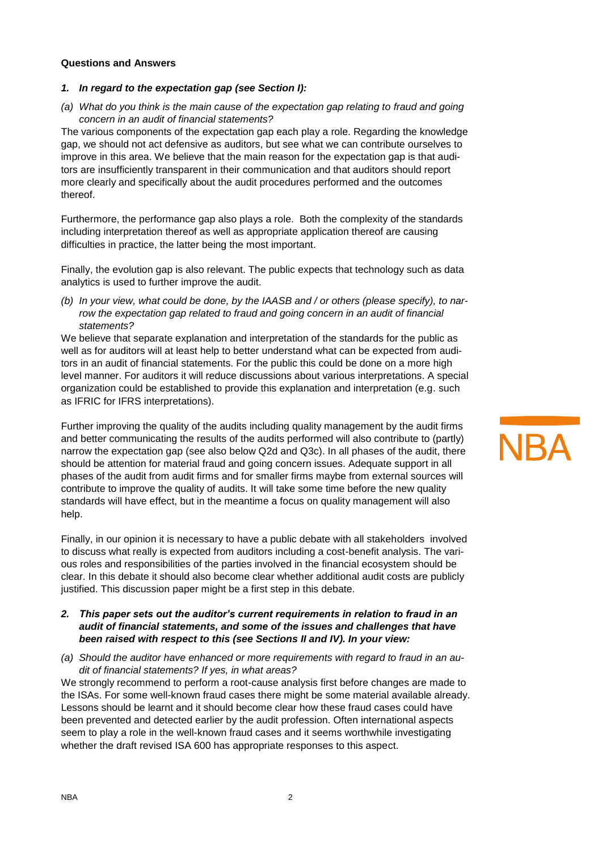## **Questions and Answers**

### *1. In regard to the expectation gap (see Section I):*

*(a) What do you think is the main cause of the expectation gap relating to fraud and going concern in an audit of financial statements?*

The various components of the expectation gap each play a role. Regarding the knowledge gap, we should not act defensive as auditors, but see what we can contribute ourselves to improve in this area. We believe that the main reason for the expectation gap is that auditors are insufficiently transparent in their communication and that auditors should report more clearly and specifically about the audit procedures performed and the outcomes thereof.

Furthermore, the performance gap also plays a role. Both the complexity of the standards including interpretation thereof as well as appropriate application thereof are causing difficulties in practice, the latter being the most important.

Finally, the evolution gap is also relevant. The public expects that technology such as data analytics is used to further improve the audit.

*(b) In your view, what could be done, by the IAASB and / or others (please specify), to narrow the expectation gap related to fraud and going concern in an audit of financial statements?*

We believe that separate explanation and interpretation of the standards for the public as well as for auditors will at least help to better understand what can be expected from auditors in an audit of financial statements. For the public this could be done on a more high level manner. For auditors it will reduce discussions about various interpretations. A special organization could be established to provide this explanation and interpretation (e.g. such as IFRIC for IFRS interpretations).

Further improving the quality of the audits including quality management by the audit firms and better communicating the results of the audits performed will also contribute to (partly) narrow the expectation gap (see also below Q2d and Q3c). In all phases of the audit, there should be attention for material fraud and going concern issues. Adequate support in all phases of the audit from audit firms and for smaller firms maybe from external sources will contribute to improve the quality of audits. It will take some time before the new quality standards will have effect, but in the meantime a focus on quality management will also help.

Finally, in our opinion it is necessary to have a public debate with all stakeholders involved to discuss what really is expected from auditors including a cost-benefit analysis. The various roles and responsibilities of the parties involved in the financial ecosystem should be clear. In this debate it should also become clear whether additional audit costs are publicly justified. This discussion paper might be a first step in this debate.

- *2. This paper sets out the auditor's current requirements in relation to fraud in an audit of financial statements, and some of the issues and challenges that have been raised with respect to this (see Sections II and IV). In your view:*
- *(a) Should the auditor have enhanced or more requirements with regard to fraud in an audit of financial statements? If yes, in what areas?*

We strongly recommend to perform a root-cause analysis first before changes are made to the ISAs. For some well-known fraud cases there might be some material available already. Lessons should be learnt and it should become clear how these fraud cases could have been prevented and detected earlier by the audit profession. Often international aspects seem to play a role in the well-known fraud cases and it seems worthwhile investigating whether the draft revised ISA 600 has appropriate responses to this aspect.

# **NBA**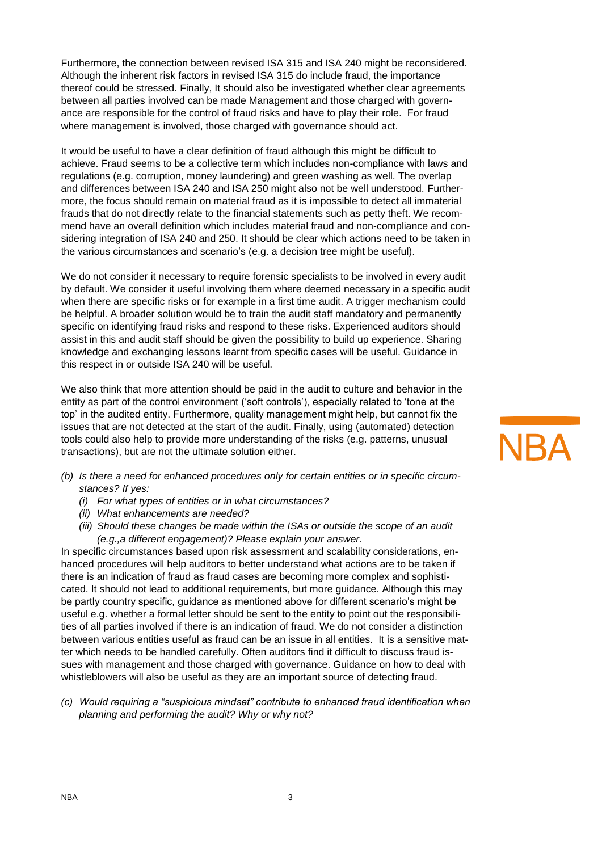Furthermore, the connection between revised ISA 315 and ISA 240 might be reconsidered. Although the inherent risk factors in revised ISA 315 do include fraud, the importance thereof could be stressed. Finally, It should also be investigated whether clear agreements between all parties involved can be made Management and those charged with governance are responsible for the control of fraud risks and have to play their role. For fraud where management is involved, those charged with governance should act.

It would be useful to have a clear definition of fraud although this might be difficult to achieve. Fraud seems to be a collective term which includes non-compliance with laws and regulations (e.g. corruption, money laundering) and green washing as well. The overlap and differences between ISA 240 and ISA 250 might also not be well understood. Furthermore, the focus should remain on material fraud as it is impossible to detect all immaterial frauds that do not directly relate to the financial statements such as petty theft. We recommend have an overall definition which includes material fraud and non-compliance and considering integration of ISA 240 and 250. It should be clear which actions need to be taken in the various circumstances and scenario's (e.g. a decision tree might be useful).

We do not consider it necessary to require forensic specialists to be involved in every audit by default. We consider it useful involving them where deemed necessary in a specific audit when there are specific risks or for example in a first time audit. A trigger mechanism could be helpful. A broader solution would be to train the audit staff mandatory and permanently specific on identifying fraud risks and respond to these risks. Experienced auditors should assist in this and audit staff should be given the possibility to build up experience. Sharing knowledge and exchanging lessons learnt from specific cases will be useful. Guidance in this respect in or outside ISA 240 will be useful.

We also think that more attention should be paid in the audit to culture and behavior in the entity as part of the control environment ('soft controls'), especially related to 'tone at the top' in the audited entity. Furthermore, quality management might help, but cannot fix the issues that are not detected at the start of the audit. Finally, using (automated) detection tools could also help to provide more understanding of the risks (e.g. patterns, unusual transactions), but are not the ultimate solution either.

- *(b) Is there a need for enhanced procedures only for certain entities or in specific circumstances? If yes:*
	- *(i) For what types of entities or in what circumstances?*
	- *(ii) What enhancements are needed?*
	- *(iii) Should these changes be made within the ISAs or outside the scope of an audit (e.g.,a different engagement)? Please explain your answer.*

In specific circumstances based upon risk assessment and scalability considerations, enhanced procedures will help auditors to better understand what actions are to be taken if there is an indication of fraud as fraud cases are becoming more complex and sophisticated. It should not lead to additional requirements, but more guidance. Although this may be partly country specific, guidance as mentioned above for different scenario's might be useful e.g. whether a formal letter should be sent to the entity to point out the responsibilities of all parties involved if there is an indication of fraud. We do not consider a distinction between various entities useful as fraud can be an issue in all entities. It is a sensitive matter which needs to be handled carefully. Often auditors find it difficult to discuss fraud issues with management and those charged with governance. Guidance on how to deal with whistleblowers will also be useful as they are an important source of detecting fraud.

*(c) Would requiring a "suspicious mindset" contribute to enhanced fraud identification when planning and performing the audit? Why or why not?*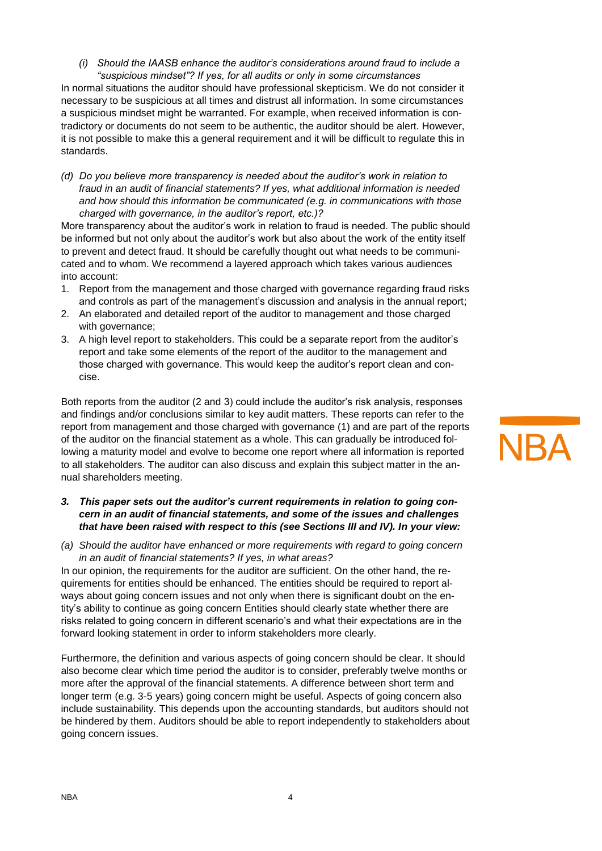*(i) Should the IAASB enhance the auditor's considerations around fraud to include a "suspicious mindset"? If yes, for all audits or only in some circumstances*

In normal situations the auditor should have professional skepticism. We do not consider it necessary to be suspicious at all times and distrust all information. In some circumstances a suspicious mindset might be warranted. For example, when received information is contradictory or documents do not seem to be authentic, the auditor should be alert. However, it is not possible to make this a general requirement and it will be difficult to regulate this in standards.

*(d) Do you believe more transparency is needed about the auditor's work in relation to fraud in an audit of financial statements? If yes, what additional information is needed and how should this information be communicated (e.g. in communications with those charged with governance, in the auditor's report, etc.)?*

More transparency about the auditor's work in relation to fraud is needed. The public should be informed but not only about the auditor's work but also about the work of the entity itself to prevent and detect fraud. It should be carefully thought out what needs to be communicated and to whom. We recommend a layered approach which takes various audiences into account:

- 1. Report from the management and those charged with governance regarding fraud risks and controls as part of the management's discussion and analysis in the annual report;
- 2. An elaborated and detailed report of the auditor to management and those charged with governance;
- 3. A high level report to stakeholders. This could be a separate report from the auditor's report and take some elements of the report of the auditor to the management and those charged with governance. This would keep the auditor's report clean and concise.

Both reports from the auditor (2 and 3) could include the auditor's risk analysis, responses and findings and/or conclusions similar to key audit matters. These reports can refer to the report from management and those charged with governance (1) and are part of the reports of the auditor on the financial statement as a whole. This can gradually be introduced following a maturity model and evolve to become one report where all information is reported to all stakeholders. The auditor can also discuss and explain this subject matter in the annual shareholders meeting.

## *3. This paper sets out the auditor's current requirements in relation to going concern in an audit of financial statements, and some of the issues and challenges that have been raised with respect to this (see Sections III and IV). In your view:*

*(a) Should the auditor have enhanced or more requirements with regard to going concern in an audit of financial statements? If yes, in what areas?*

In our opinion, the requirements for the auditor are sufficient. On the other hand, the requirements for entities should be enhanced. The entities should be required to report always about going concern issues and not only when there is significant doubt on the entity's ability to continue as going concern Entities should clearly state whether there are risks related to going concern in different scenario's and what their expectations are in the forward looking statement in order to inform stakeholders more clearly.

Furthermore, the definition and various aspects of going concern should be clear. It should also become clear which time period the auditor is to consider, preferably twelve months or more after the approval of the financial statements. A difference between short term and longer term (e.g. 3-5 years) going concern might be useful. Aspects of going concern also include sustainability. This depends upon the accounting standards, but auditors should not be hindered by them. Auditors should be able to report independently to stakeholders about going concern issues.

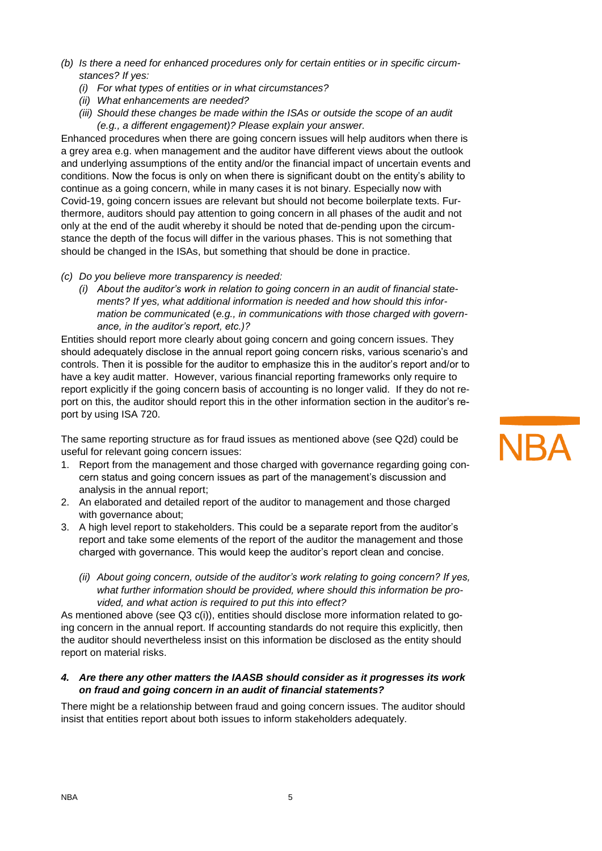- *(b) Is there a need for enhanced procedures only for certain entities or in specific circumstances? If yes:*
	- *(i) For what types of entities or in what circumstances?*
	- *(ii) What enhancements are needed?*
	- *(iii) Should these changes be made within the ISAs or outside the scope of an audit (e.g., a different engagement)? Please explain your answer.*

Enhanced procedures when there are going concern issues will help auditors when there is a grey area e.g. when management and the auditor have different views about the outlook and underlying assumptions of the entity and/or the financial impact of uncertain events and conditions. Now the focus is only on when there is significant doubt on the entity's ability to continue as a going concern, while in many cases it is not binary. Especially now with Covid-19, going concern issues are relevant but should not become boilerplate texts. Furthermore, auditors should pay attention to going concern in all phases of the audit and not only at the end of the audit whereby it should be noted that de-pending upon the circumstance the depth of the focus will differ in the various phases. This is not something that should be changed in the ISAs, but something that should be done in practice.

- *(c) Do you believe more transparency is needed:*
	- *(i) About the auditor's work in relation to going concern in an audit of financial statements? If yes, what additional information is needed and how should this information be communicated* (*e.g., in communications with those charged with governance, in the auditor's report, etc.)?*

Entities should report more clearly about going concern and going concern issues. They should adequately disclose in the annual report going concern risks, various scenario's and controls. Then it is possible for the auditor to emphasize this in the auditor's report and/or to have a key audit matter. However, various financial reporting frameworks only require to report explicitly if the going concern basis of accounting is no longer valid. If they do not report on this, the auditor should report this in the other information section in the auditor's report by using ISA 720.

The same reporting structure as for fraud issues as mentioned above (see Q2d) could be useful for relevant going concern issues:

- 1. Report from the management and those charged with governance regarding going concern status and going concern issues as part of the management's discussion and analysis in the annual report;
- 2. An elaborated and detailed report of the auditor to management and those charged with governance about;
- 3. A high level report to stakeholders. This could be a separate report from the auditor's report and take some elements of the report of the auditor the management and those charged with governance. This would keep the auditor's report clean and concise.
	- *(ii) About going concern, outside of the auditor's work relating to going concern? If yes, what further information should be provided, where should this information be provided, and what action is required to put this into effect?*

As mentioned above (see Q3 c(i)), entities should disclose more information related to going concern in the annual report. If accounting standards do not require this explicitly, then the auditor should nevertheless insist on this information be disclosed as the entity should report on material risks.

### *4. Are there any other matters the IAASB should consider as it progresses its work on fraud and going concern in an audit of financial statements?*

There might be a relationship between fraud and going concern issues. The auditor should insist that entities report about both issues to inform stakeholders adequately.

## **NBA**